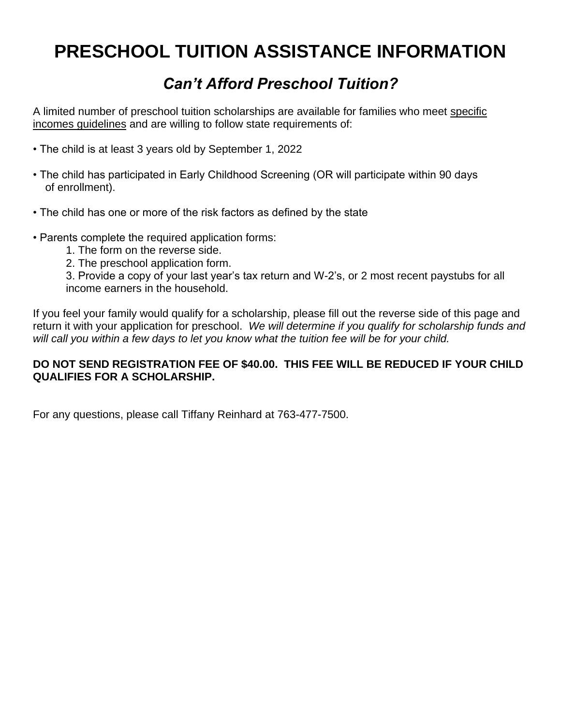# **PRESCHOOL TUITION ASSISTANCE INFORMATION**

## *Can't Afford Preschool Tuition?*

A limited number of preschool tuition scholarships are available for families who meet specific incomes guidelines and are willing to follow state requirements of:

- The child is at least 3 years old by September 1, 2022
- The child has participated in Early Childhood Screening (OR will participate within 90 days of enrollment).
- The child has one or more of the risk factors as defined by the state
- Parents complete the required application forms:
	- 1. The form on the reverse side.
	- 2. The preschool application form.

3. Provide a copy of your last year's tax return and W-2's, or 2 most recent paystubs for all income earners in the household.

If you feel your family would qualify for a scholarship, please fill out the reverse side of this page and return it with your application for preschool. *We will determine if you qualify for scholarship funds and will call you within a few days to let you know what the tuition fee will be for your child.* 

#### **DO NOT SEND REGISTRATION FEE OF \$40.00. THIS FEE WILL BE REDUCED IF YOUR CHILD QUALIFIES FOR A SCHOLARSHIP.**

For any questions, please call Tiffany Reinhard at 763-477-7500.